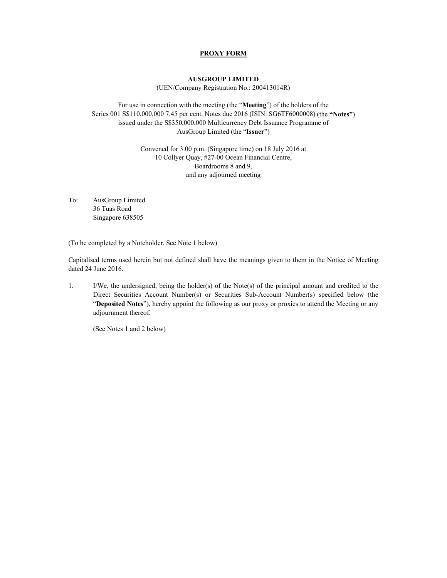## **PROXY FORM**

## **AUSGROUP LIMITED**

(UEN/Company Registration No.: 200413014R)

For use in connection with the meeting (the "**Meeting**") of the holders of the Series 001 S\$110,000,000 7.45 per cent. Notes due 2016 (ISIN: SG6TF6000008) (the **"Notes"**) issued under the S\$350,000,000 Multicurrency Debt Issuance Programme of AusGroup Limited (the "**Issuer**")

> Convened for 3.00 p.m. (Singapore time) on 18 July 2016 at 10 Collyer Quay, #27-00 Ocean Financial Centre, Boardrooms 8 and 9, and any adjourned meeting

To: AusGroup Limited 36 Tuas Road Singapore 638505

(To be completed by a Noteholder. See Note 1 below)

Capitalised terms used herein but not defined shall have the meanings given to them in the Notice of Meeting dated 24 June 2016.

1. I/We, the undersigned, being the holder(s) of the Note(s) of the principal amount and credited to the Direct Securities Account Number(s) or Securities Sub-Account Number(s) specified below (the "**Deposited Notes**"), hereby appoint the following as our proxy or proxies to attend the Meeting or any adjournment thereof.

(See Notes 1 and 2 below)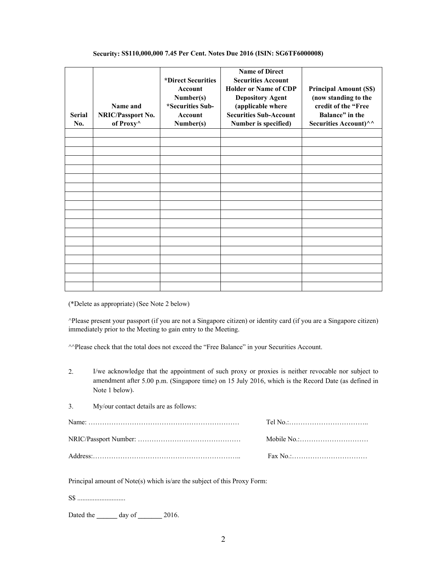|               |                                         |                    | <b>Name of Direct</b>         |                               |
|---------------|-----------------------------------------|--------------------|-------------------------------|-------------------------------|
|               |                                         | *Direct Securities | <b>Securities Account</b>     |                               |
|               |                                         | Account            | <b>Holder or Name of CDP</b>  | <b>Principal Amount (S\$)</b> |
|               |                                         | Number(s)          | <b>Depository Agent</b>       | (now standing to the          |
|               | Name and                                | *Securities Sub-   | (applicable where             | credit of the "Free           |
| <b>Serial</b> | <b>NRIC/Passport No.</b>                | <b>Account</b>     | <b>Securities Sub-Account</b> | <b>Balance</b> " in the       |
| No.           |                                         |                    |                               |                               |
|               | of Proxy <sup><math>\wedge</math></sup> | Number(s)          | Number is specified)          | Securities Account)^^         |
|               |                                         |                    |                               |                               |
|               |                                         |                    |                               |                               |
|               |                                         |                    |                               |                               |
|               |                                         |                    |                               |                               |
|               |                                         |                    |                               |                               |
|               |                                         |                    |                               |                               |
|               |                                         |                    |                               |                               |
|               |                                         |                    |                               |                               |
|               |                                         |                    |                               |                               |
|               |                                         |                    |                               |                               |
|               |                                         |                    |                               |                               |
|               |                                         |                    |                               |                               |
|               |                                         |                    |                               |                               |
|               |                                         |                    |                               |                               |
|               |                                         |                    |                               |                               |
|               |                                         |                    |                               |                               |
|               |                                         |                    |                               |                               |
|               |                                         |                    |                               |                               |

## **Security: S\$110,000,000 7.45 Per Cent. Notes Due 2016 (ISIN: SG6TF6000008)**

(\*Delete as appropriate) (See Note 2 below)

^Please present your passport (if you are not a Singapore citizen) or identity card (if you are a Singapore citizen) immediately prior to the Meeting to gain entry to the Meeting.

^^Please check that the total does not exceed the "Free Balance" in your Securities Account.

2. I/we acknowledge that the appointment of such proxy or proxies is neither revocable nor subject to amendment after 5.00 p.m. (Singapore time) on 15 July 2016, which is the Record Date (as defined in Note 1 below).

| 3. | My/our contact details are as follows: |  |
|----|----------------------------------------|--|
|    |                                        |  |

| $\text{Fax No}$ . |
|-------------------|

Principal amount of Note(s) which is/are the subject of this Proxy Form:

S\$ ............................

Dated the **\_\_\_\_\_\_** day of **\_\_\_\_\_\_\_** 2016.